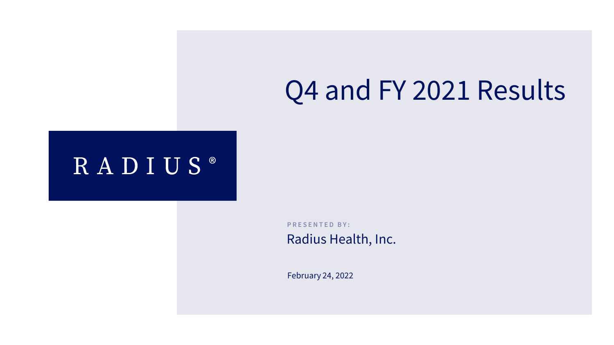# Q4 and FY 2021 Results

### RADIUS®

**PRESENTED BY:** 

Radius Health, Inc.

February 24, 2022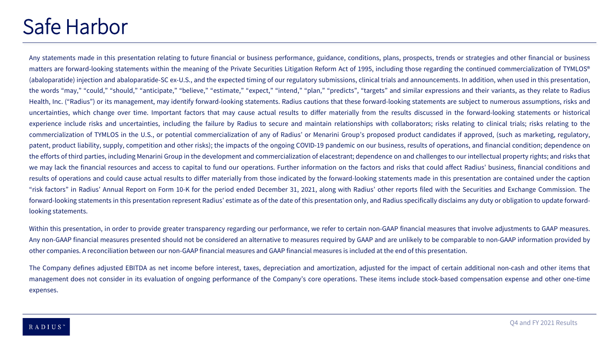### Safe Harbor

Any statements made in this presentation relating to future financial or business performance, guidance, conditions, plans, prospects, trends or strategies and other financial or business matters are forward-looking statements within the meaning of the Private Securities Litigation Reform Act of 1995, including those regarding the continued commercialization of TYMLOS® (abaloparatide) injection and abaloparatide-SC ex-U.S., and the expected timing of our regulatory submissions, clinical trials and announcements. In addition, when used in this presentation, the words "may," "could," "should," "anticipate," "believe," "estimate," "expect," "intend," "plan," "predicts", "targets" and similar expressions and their variants, as they relate to Radius Health, Inc. ("Radius") or its management, may identify forward-looking statements. Radius cautions that these forward-looking statements are subject to numerous assumptions, risks and uncertainties, which change over time. Important factors that may cause actual results to differ materially from the results discussed in the forward-looking statements or historical experience include risks and uncertainties, including the failure by Radius to secure and maintain relationships with collaborators; risks relating to clinical trials; risks relating to the commercialization of TYMLOS in the U.S., or potential commercialization of any of Radius' or Menarini Group's proposed product candidates if approved, (such as marketing, regulatory, patent, product liability, supply, competition and other risks); the impacts of the ongoing COVID-19 pandemic on our business, results of operations, and financial condition; dependence on the efforts of third parties, including Menarini Group in the development and commercialization of elacestrant; dependence on and challenges to our intellectual property rights; and risks that we may lack the financial resources and access to capital to fund our operations. Further information on the factors and risks that could affect Radius' business, financial conditions and results of operations and could cause actual results to differ materially from those indicated by the forward-looking statements made in this presentation are contained under the caption "risk factors" in Radius' Annual Report on Form 10-K for the period ended December 31, 2021, along with Radius' other reports filed with the Securities and Exchange Commission. The forward-looking statements in this presentation represent Radius' estimate as of the date of this presentation only, and Radius specifically disclaims any duty or obligation to update forwardlooking statements.

Within this presentation, in order to provide greater transparency regarding our performance, we refer to certain non-GAAP financial measures that involve adjustments to GAAP measures. Any non-GAAP financial measures presented should not be considered an alternative to measures required by GAAP and are unlikely to be comparable to non-GAAP information provided by other companies. A reconciliation between our non-GAAP financial measures and GAAP financial measures is included at the end of this presentation.

The Company defines adjusted EBITDA as net income before interest, taxes, depreciation and amortization, adjusted for the impact of certain additional non-cash and other items that management does not consider in its evaluation of ongoing performance of the Company's core operations. These items include stock-based compensation expense and other one-time expenses.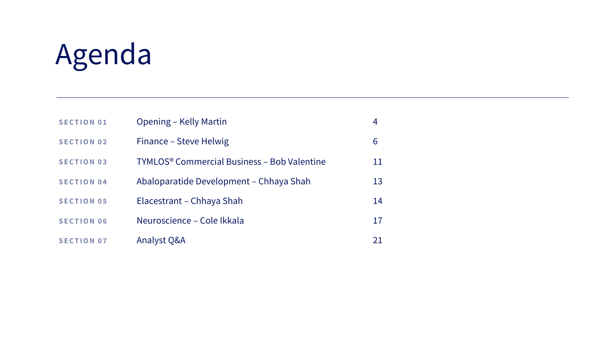# Agenda

| <b>SECTION 01</b> | Opening – Kelly Martin                                        |    |
|-------------------|---------------------------------------------------------------|----|
| <b>SECTION 02</b> | Finance – Steve Helwig                                        | 6  |
| <b>SECTION 03</b> | <b>TYMLOS<sup>®</sup> Commercial Business - Bob Valentine</b> | 11 |
| <b>SECTION 04</b> | Abaloparatide Development – Chhaya Shah                       | 13 |
| <b>SECTION 05</b> | Elacestrant – Chhaya Shah                                     | 14 |
| <b>SECTION 06</b> | Neuroscience – Cole Ikkala                                    | 17 |
| <b>SECTION 07</b> | Analyst Q&A                                                   | 21 |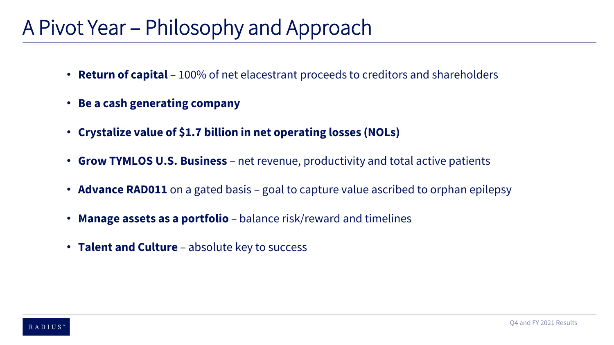### A Pivot Year – Philosophy and Approach

- **Return of capital** 100% of net elacestrant proceeds to creditors and shareholders
- **Be a cash generating company**
- **Crystalize value of \$1.7 billion in net operating losses (NOLs)**
- **Grow TYMLOS U.S. Business** net revenue, productivity and total active patients
- **Advance RAD011** on a gated basis goal to capture value ascribed to orphan epilepsy
- **Manage assets as a portfolio**  balance risk/reward and timelines
- **Talent and Culture**  absolute key to success

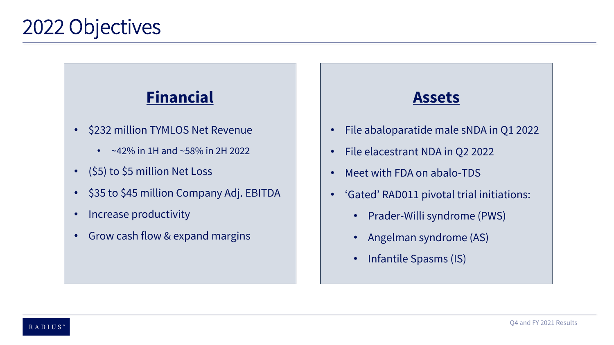### **Financial**

- \$232 million TYMLOS Net Revenue
	- $~\sim$ 42% in 1H and  $~\sim$ 58% in 2H 2022
- (\$5) to \$5 million Net Loss
- \$35 to \$45 million Company Adj. EBITDA
- Increase productivity
- Grow cash flow & expand margins

### **Assets**

- File abaloparatide male sNDA in Q1 2022
- File elacestrant NDA in Q2 2022
- Meet with FDA on abalo-TDS
- 'Gated' RAD011 pivotal trial initiations:
	- Prader-Willi syndrome (PWS)
	- Angelman syndrome (AS)
	- Infantile Spasms (IS)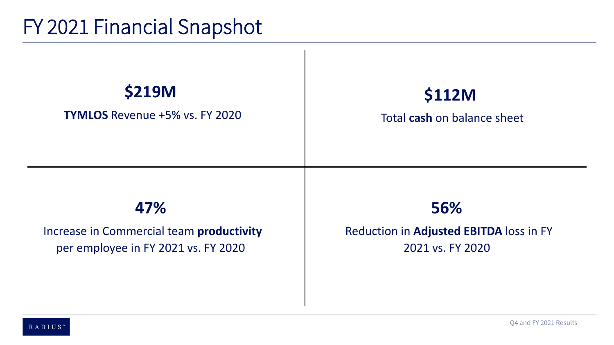### FY 2021 Financial Snapshot

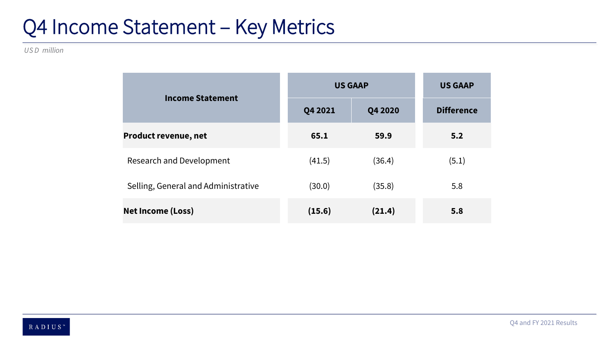### Q4 Income Statement – Key Metrics

*US D million*

|                                     | <b>US GAAP</b> | <b>US GAAP</b> |                   |
|-------------------------------------|----------------|----------------|-------------------|
| <b>Income Statement</b>             | Q4 2021        | Q4 2020        | <b>Difference</b> |
| <b>Product revenue, net</b>         | 65.1           | 59.9           | 5.2               |
| <b>Research and Development</b>     | (41.5)         | (36.4)         | (5.1)             |
| Selling, General and Administrative | (30.0)         | (35.8)         | 5.8               |
| <b>Net Income (Loss)</b>            | (15.6)         | (21.4)         | 5.8               |

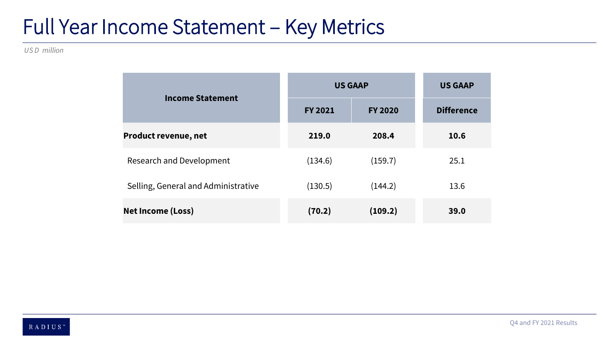### Full Year Income Statement – Key Metrics

*US D million*

|                                     | <b>US GAAP</b> | <b>US GAAP</b> |                   |
|-------------------------------------|----------------|----------------|-------------------|
| <b>Income Statement</b>             | <b>FY 2021</b> | <b>FY 2020</b> | <b>Difference</b> |
| <b>Product revenue, net</b>         | 219.0          | 208.4          | 10.6              |
| Research and Development            | (134.6)        | (159.7)        | 25.1              |
| Selling, General and Administrative | (130.5)        | (144.2)        | 13.6              |
| <b>Net Income (Loss)</b>            | (70.2)         | (109.2)        | 39.0              |

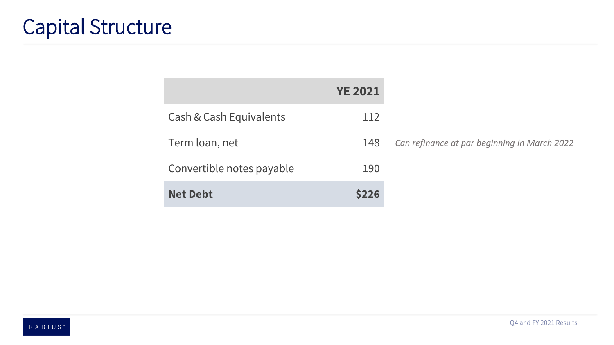|                           | <b>YE 2021</b> |                                              |
|---------------------------|----------------|----------------------------------------------|
| Cash & Cash Equivalents   | 112            |                                              |
| Term loan, net            | 148            | Can refinance at par beginning in March 2022 |
| Convertible notes payable | 190            |                                              |
| <b>Net Debt</b>           | <b>\$226</b>   |                                              |

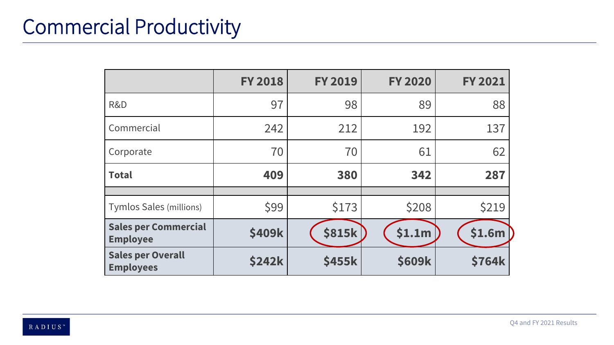## Commercial Productivity

|                                                | <b>FY 2018</b> | <b>FY 2019</b> | <b>FY 2020</b> | <b>FY 2021</b> |
|------------------------------------------------|----------------|----------------|----------------|----------------|
| R&D                                            | 97             | 98             | 89             | 88             |
| Commercial                                     | 242            | 212            | 192            | 137            |
| Corporate                                      | 70             | 70             | 61             | 62             |
| <b>Total</b>                                   | 409            | 380            | 342            | 287            |
|                                                |                |                |                |                |
| <b>Tymlos Sales (millions)</b>                 | \$99           | \$173          | \$208          | \$219          |
| <b>Sales per Commercial</b><br><b>Employee</b> | \$409k         | <b>\$815k</b>  | \$1.1m         | \$1.6m         |
| <b>Sales per Overall</b><br><b>Employees</b>   | <b>\$242k</b>  | \$455k         | <b>\$609k</b>  | <b>\$764k</b>  |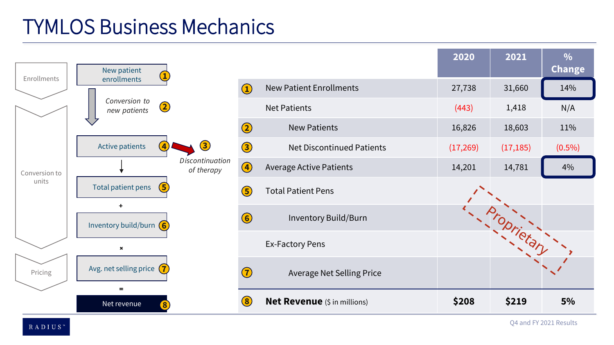### TYMLOS Business Mechanics

| Enrollments   | New patient                              |                               |                                                |                                     | 2020     | 2021        | $\frac{0}{0}$<br><b>Change</b> |
|---------------|------------------------------------------|-------------------------------|------------------------------------------------|-------------------------------------|----------|-------------|--------------------------------|
|               | enrollments                              |                               |                                                | <b>New Patient Enrollments</b>      | 27,738   | 31,660      | 14%                            |
|               | Conversion to<br>$\odot$<br>new patients |                               |                                                | <b>Net Patients</b>                 | (443)    | 1,418       | N/A                            |
|               |                                          |                               | $\odot$                                        | <b>New Patients</b>                 | 16,826   | 18,603      | 11%                            |
|               | Active patients<br>$\overline{4}$        | $\left( 3 \right)$            | 3                                              | <b>Net Discontinued Patients</b>    | (17,269) | (17, 185)   | $(0.5\%)$                      |
| Conversion to |                                          | Discontinuation<br>of therapy | $\bigcirc$                                     | <b>Average Active Patients</b>      | 14,201   | 14,781      | 4%                             |
| units         | Total patient pens<br>$\left(5\right)$   |                               | $\circledS$                                    | <b>Total Patient Pens</b>           |          |             |                                |
|               | ÷.<br>Inventory build/burn $\left($ 6    |                               | $\odot$                                        | Inventory Build/Burn                |          | Proprietary |                                |
|               | $\pmb{\times}$                           |                               |                                                | <b>Ex-Factory Pens</b>              |          |             |                                |
| Pricing       | Avg. net selling price $(7)$<br>$=$      |                               | $\bigodot$                                     | <b>Average Net Selling Price</b>    |          |             |                                |
|               | Net revenue                              |                               | $\left( \begin{matrix} 8 \end{matrix} \right)$ | <b>Net Revenue</b> (\$ in millions) | \$208    | \$219       | 5%                             |

 $R$ A D I U S $^{\circ}$ 

Q4 and FY 2021 Results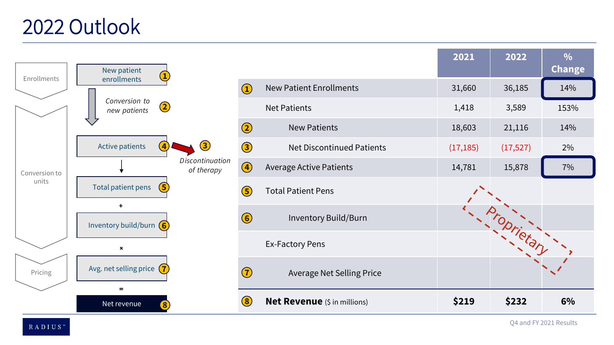### 2022 Outlook

| Enrollments   | New patient                                  |                                      |                                                |                                     | 2021      | 2022        | $\frac{0}{0}$<br><b>Change</b> |
|---------------|----------------------------------------------|--------------------------------------|------------------------------------------------|-------------------------------------|-----------|-------------|--------------------------------|
|               | enrollments                                  |                                      | $\left( \begin{matrix} 1 \end{matrix} \right)$ | <b>New Patient Enrollments</b>      | 31,660    | 36,185      | 14%                            |
|               | Conversion to<br>2<br>new patients           |                                      |                                                | <b>Net Patients</b>                 | 1,418     | 3,589       | 153%                           |
|               |                                              |                                      | $\odot$                                        | <b>New Patients</b>                 | 18,603    | 21,116      | 14%                            |
|               | Active patients<br>$\overline{A}$            | $\circled{3}$                        | 3                                              | <b>Net Discontinued Patients</b>    | (17, 185) | (17, 527)   | 2%                             |
| Conversion to |                                              | <b>Discontinuation</b><br>of therapy | 4                                              | <b>Average Active Patients</b>      | 14,781    | 15,878      | 7%                             |
| units         | Total patient pens<br>$\left(5\right)$       |                                      | $\circled{5}$                                  | <b>Total Patient Pens</b>           |           |             |                                |
|               | $+$<br>Inventory build/burn $\left(6\right)$ |                                      | $\bigodot$                                     | <b>Inventory Build/Burn</b>         |           | Proprietary |                                |
|               | $\pmb{\times}$                               |                                      |                                                | <b>Ex-Factory Pens</b>              |           |             |                                |
| Pricing       | Avg. net selling price $(7)$<br>÷            |                                      | $\bigodot$                                     | <b>Average Net Selling Price</b>    |           |             |                                |
|               | Net revenue<br>$\bf{8}$                      |                                      | $\left( 8\right)$                              | <b>Net Revenue</b> (\$ in millions) | \$219     | \$232       | 6%                             |

 $\mathbf R$ A D I U S $^{\mathrm{m}}$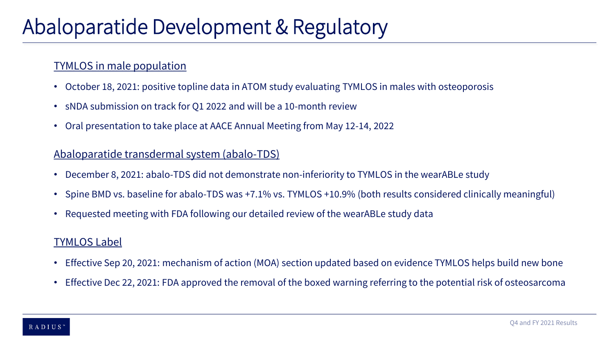### Abaloparatide Development & Regulatory

#### TYMLOS in male population

- October 18, 2021: positive topline data in ATOM study evaluating TYMLOS in males with osteoporosis
- sNDA submission on track for Q1 2022 and will be a 10-month review
- Oral presentation to take place at AACE Annual Meeting from May 12-14, 2022

#### Abaloparatide transdermal system (abalo-TDS)

- December 8, 2021: abalo-TDS did not demonstrate non-inferiority to TYMLOS in the wearABLe study
- Spine BMD vs. baseline for abalo-TDS was +7.1% vs. TYMLOS +10.9% (both results considered clinically meaningful)
- Requested meeting with FDA following our detailed review of the wearABLe study data

#### TYMLOS Label

- Effective Sep 20, 2021: mechanism of action (MOA) section updated based on evidence TYMLOS helps build new bone
- Effective Dec 22, 2021: FDA approved the removal of the boxed warning referring to the potential risk of osteosarcoma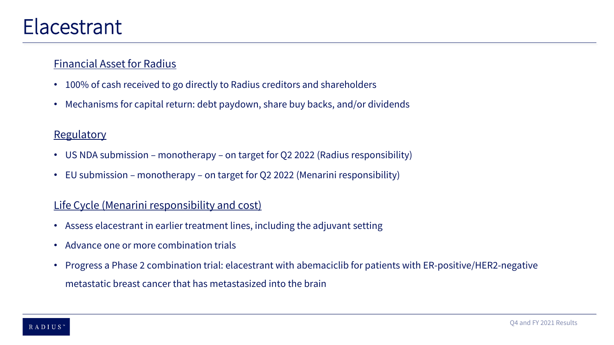### Elacestrant

#### Financial Asset for Radius

- 100% of cash received to go directly to Radius creditors and shareholders
- Mechanisms for capital return: debt paydown, share buy backs, and/or dividends

#### **Regulatory**

- US NDA submission monotherapy on target for Q2 2022 (Radius responsibility)
- EU submission monotherapy on target for Q2 2022 (Menarini responsibility)

#### Life Cycle (Menarini responsibility and cost)

- Assess elacestrant in earlier treatment lines, including the adjuvant setting
- Advance one or more combination trials
- Progress a Phase 2 combination trial: elacestrant with abemaciclib for patients with ER-positive/HER2-negative metastatic breast cancer that has metastasized into the brain

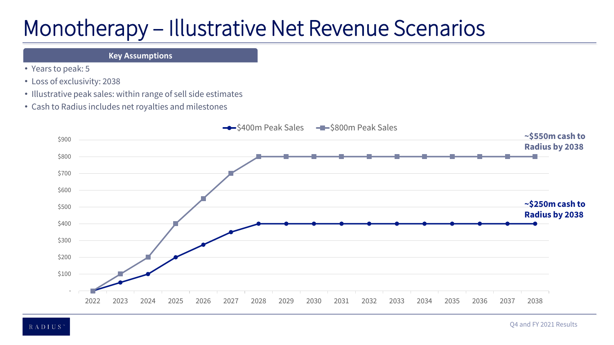## Monotherapy – Illustrative Net Revenue Scenarios

#### **Key Assumptions**

- Years to peak: 5
- Loss of exclusivity: 2038
- Illustrative peak sales: within range of sell side estimates
- Cash to Radius includes net royalties and milestones

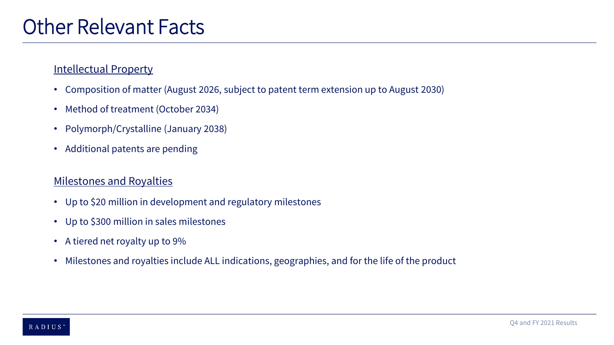#### Intellectual Property

- Composition of matter (August 2026, subject to patent term extension up to August 2030)
- Method of treatment (October 2034)
- Polymorph/Crystalline (January 2038)
- Additional patents are pending

#### Milestones and Royalties

- Up to \$20 million in development and regulatory milestones
- Up to \$300 million in sales milestones
- A tiered net royalty up to 9%
- Milestones and royalties include ALL indications, geographies, and for the life of the product

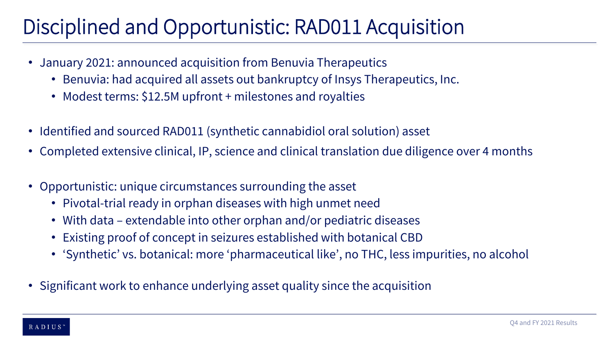## Disciplined and Opportunistic: RAD011 Acquisition

- January 2021: announced acquisition from Benuvia Therapeutics
	- Benuvia: had acquired all assets out bankruptcy of Insys Therapeutics, Inc.
	- Modest terms: \$12.5M upfront + milestones and royalties
- Identified and sourced RAD011 (synthetic cannabidiol oral solution) asset
- Completed extensive clinical, IP, science and clinical translation due diligence over 4 months
- Opportunistic: unique circumstances surrounding the asset
	- Pivotal-trial ready in orphan diseases with high unmet need
	- With data extendable into other orphan and/or pediatric diseases
	- Existing proof of concept in seizures established with botanical CBD
	- 'Synthetic' vs. botanical: more 'pharmaceutical like', no THC, less impurities, no alcohol
- Significant work to enhance underlying asset quality since the acquisition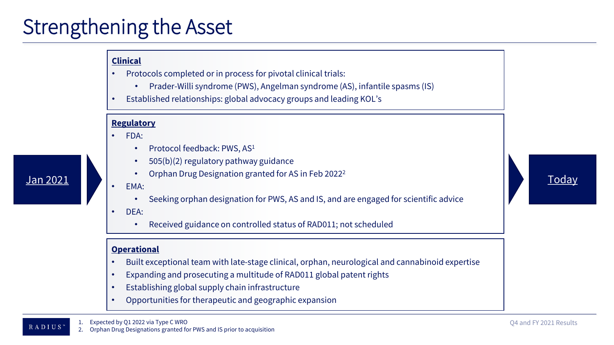### Strengthening the Asset

#### **Clinical**

- Protocols completed or in process for pivotal clinical trials:
	- Prader-Willi syndrome (PWS), Angelman syndrome (AS), infantile spasms (IS)
- Established relationships: global advocacy groups and leading KOL's

#### **Regulatory**

- FDA:
	- Protocol feedback: PWS, AS<sup>1</sup>
	- 505(b)(2) regulatory pathway guidance
- Jan 2021 **Today** • Orphan Drug Designation granted for AS in Feb 2022<sup>2</sup>

#### • EMA:

• Seeking orphan designation for PWS, AS and IS, and are engaged for scientific advice

#### • DEA:

• Received guidance on controlled status of RAD011; not scheduled

#### **Operational**

RADIUS"

- Built exceptional team with late-stage clinical, orphan, neurological and cannabinoid expertise
- Expanding and prosecuting a multitude of RAD011 global patent rights
- Establishing global supply chain infrastructure
- Opportunities for therapeutic and geographic expansion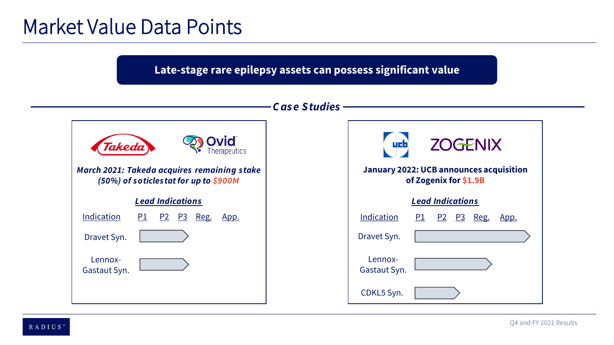### Market Value Data Points

**Late-stage rare epilepsy assets can possess significant value**

#### *C as e Studies*



| <b>ZOGENIX</b><br>ue b<br><b>January 2022: UCB announces acquisition</b><br>of Zogenix for \$1.9B |           |  |  |                   |             |  |
|---------------------------------------------------------------------------------------------------|-----------|--|--|-------------------|-------------|--|
| <b>Lead Indications</b>                                                                           |           |  |  |                   |             |  |
| Indication                                                                                        | <u>P1</u> |  |  | <u>P2 P3 Reg.</u> | <u>App.</u> |  |
| Dravet Syn.                                                                                       |           |  |  |                   |             |  |
| Lennox-<br>Gastaut Syn.                                                                           |           |  |  |                   |             |  |
| CDKL5 Syn.                                                                                        |           |  |  |                   |             |  |

RADIUS"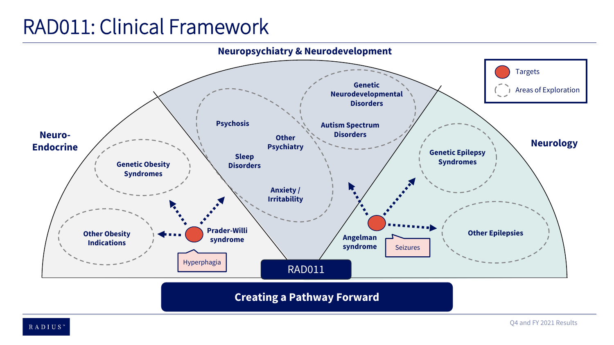### RAD011: Clinical Framework



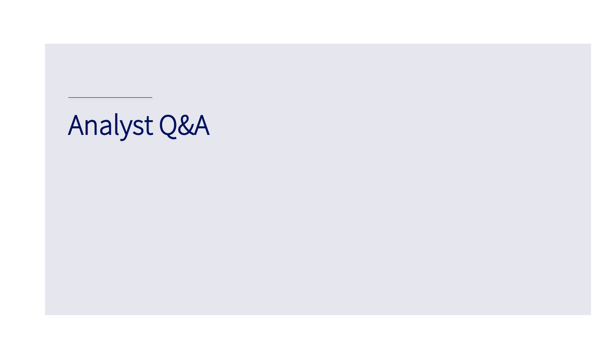Analyst Q&A